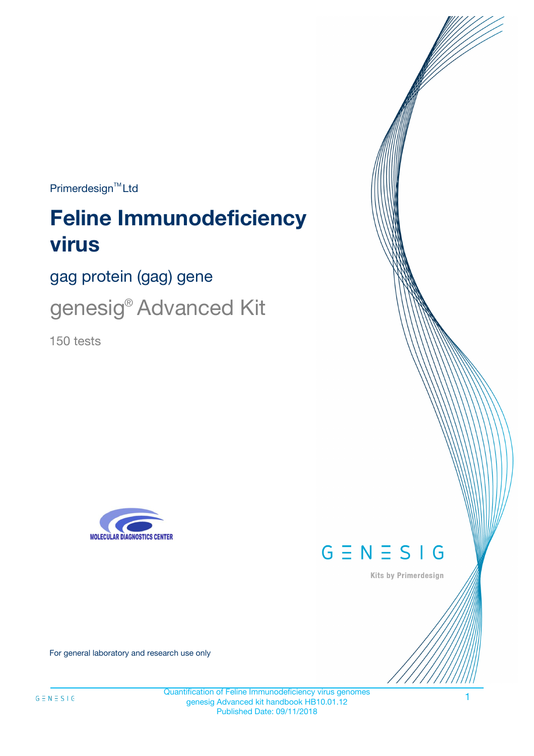$Primerdesign^{\text{TM}}Ltd$ 

# **Feline Immunodeficiency virus**

gag protein (gag) gene

genesig® Advanced Kit

150 tests





Kits by Primerdesign

For general laboratory and research use only

Quantification of Feline Immunodeficiency virus genomes genesig Advanced kit handbook HB10.01.12 Published Date: 09/11/2018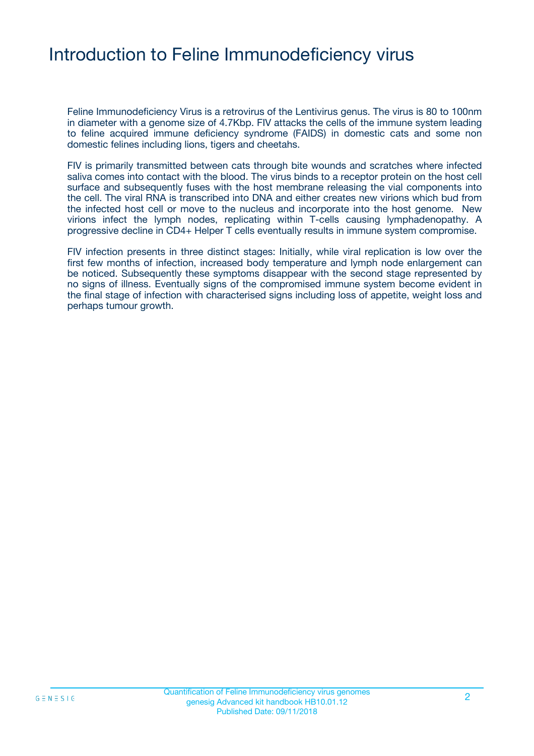### Introduction to Feline Immunodeficiency virus

Feline Immunodeficiency Virus is a retrovirus of the Lentivirus genus. The virus is 80 to 100nm in diameter with a genome size of 4.7Kbp. FIV attacks the cells of the immune system leading to feline acquired immune deficiency syndrome (FAIDS) in domestic cats and some non domestic felines including lions, tigers and cheetahs.

FIV is primarily transmitted between cats through bite wounds and scratches where infected saliva comes into contact with the blood. The virus binds to a receptor protein on the host cell surface and subsequently fuses with the host membrane releasing the vial components into the cell. The viral RNA is transcribed into DNA and either creates new virions which bud from the infected host cell or move to the nucleus and incorporate into the host genome. New virions infect the lymph nodes, replicating within T-cells causing lymphadenopathy. A progressive decline in CD4+ Helper T cells eventually results in immune system compromise.

FIV infection presents in three distinct stages: Initially, while viral replication is low over the first few months of infection, increased body temperature and lymph node enlargement can be noticed. Subsequently these symptoms disappear with the second stage represented by no signs of illness. Eventually signs of the compromised immune system become evident in the final stage of infection with characterised signs including loss of appetite, weight loss and perhaps tumour growth.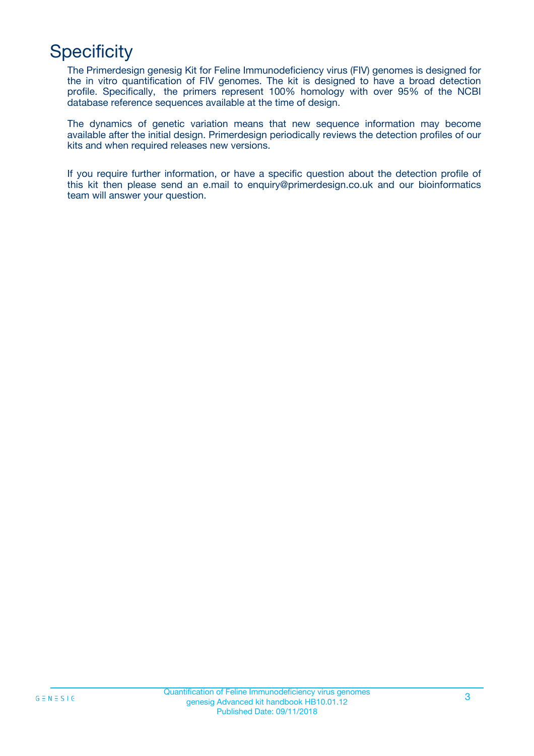## **Specificity**

The Primerdesign genesig Kit for Feline Immunodeficiency virus (FIV) genomes is designed for the in vitro quantification of FIV genomes. The kit is designed to have a broad detection profile. Specifically, the primers represent 100% homology with over 95% of the NCBI database reference sequences available at the time of design.

The dynamics of genetic variation means that new sequence information may become available after the initial design. Primerdesign periodically reviews the detection profiles of our kits and when required releases new versions.

If you require further information, or have a specific question about the detection profile of this kit then please send an e.mail to enquiry@primerdesign.co.uk and our bioinformatics team will answer your question.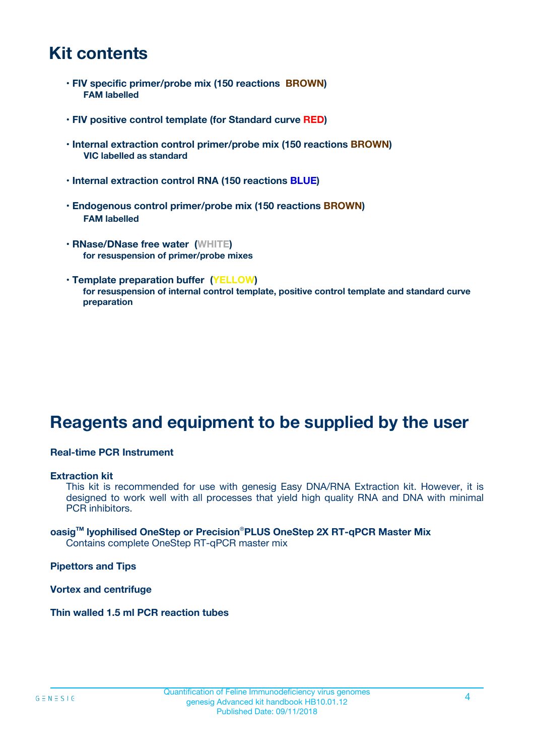### **Kit contents**

- **FIV specific primer/probe mix (150 reactions BROWN) FAM labelled**
- **FIV positive control template (for Standard curve RED)**
- **Internal extraction control primer/probe mix (150 reactions BROWN) VIC labelled as standard**
- **Internal extraction control RNA (150 reactions BLUE)**
- **Endogenous control primer/probe mix (150 reactions BROWN) FAM labelled**
- **RNase/DNase free water (WHITE) for resuspension of primer/probe mixes**
- **Template preparation buffer (YELLOW) for resuspension of internal control template, positive control template and standard curve preparation**

### **Reagents and equipment to be supplied by the user**

#### **Real-time PCR Instrument**

#### **Extraction kit**

This kit is recommended for use with genesig Easy DNA/RNA Extraction kit. However, it is designed to work well with all processes that yield high quality RNA and DNA with minimal PCR inhibitors.

#### **oasigTM lyophilised OneStep or Precision**®**PLUS OneStep 2X RT-qPCR Master Mix** Contains complete OneStep RT-qPCR master mix

**Pipettors and Tips**

**Vortex and centrifuge**

**Thin walled 1.5 ml PCR reaction tubes**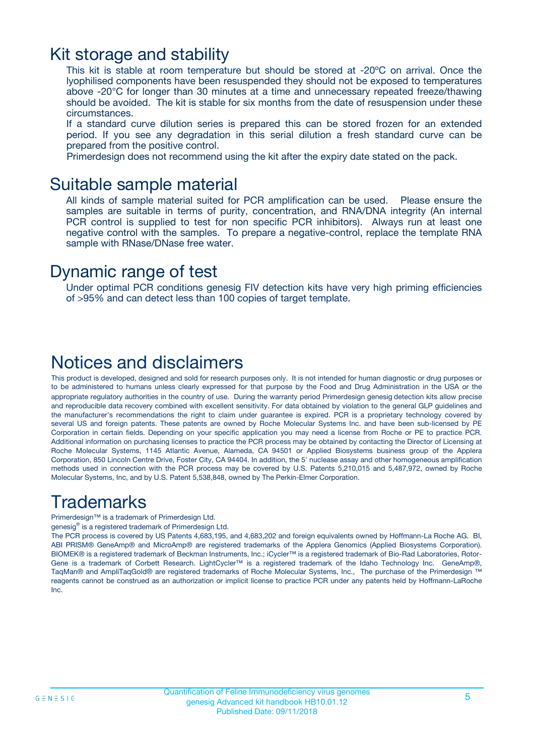### Kit storage and stability

This kit is stable at room temperature but should be stored at -20ºC on arrival. Once the lyophilised components have been resuspended they should not be exposed to temperatures above -20°C for longer than 30 minutes at a time and unnecessary repeated freeze/thawing should be avoided. The kit is stable for six months from the date of resuspension under these circumstances.

If a standard curve dilution series is prepared this can be stored frozen for an extended period. If you see any degradation in this serial dilution a fresh standard curve can be prepared from the positive control.

Primerdesign does not recommend using the kit after the expiry date stated on the pack.

### Suitable sample material

All kinds of sample material suited for PCR amplification can be used. Please ensure the samples are suitable in terms of purity, concentration, and RNA/DNA integrity (An internal PCR control is supplied to test for non specific PCR inhibitors). Always run at least one negative control with the samples. To prepare a negative-control, replace the template RNA sample with RNase/DNase free water.

### Dynamic range of test

Under optimal PCR conditions genesig FIV detection kits have very high priming efficiencies of >95% and can detect less than 100 copies of target template.

### Notices and disclaimers

This product is developed, designed and sold for research purposes only. It is not intended for human diagnostic or drug purposes or to be administered to humans unless clearly expressed for that purpose by the Food and Drug Administration in the USA or the appropriate regulatory authorities in the country of use. During the warranty period Primerdesign genesig detection kits allow precise and reproducible data recovery combined with excellent sensitivity. For data obtained by violation to the general GLP guidelines and the manufacturer's recommendations the right to claim under guarantee is expired. PCR is a proprietary technology covered by several US and foreign patents. These patents are owned by Roche Molecular Systems Inc. and have been sub-licensed by PE Corporation in certain fields. Depending on your specific application you may need a license from Roche or PE to practice PCR. Additional information on purchasing licenses to practice the PCR process may be obtained by contacting the Director of Licensing at Roche Molecular Systems, 1145 Atlantic Avenue, Alameda, CA 94501 or Applied Biosystems business group of the Applera Corporation, 850 Lincoln Centre Drive, Foster City, CA 94404. In addition, the 5' nuclease assay and other homogeneous amplification methods used in connection with the PCR process may be covered by U.S. Patents 5,210,015 and 5,487,972, owned by Roche Molecular Systems, Inc, and by U.S. Patent 5,538,848, owned by The Perkin-Elmer Corporation.

### Trademarks

Primerdesign™ is a trademark of Primerdesign Ltd.

genesig® is a registered trademark of Primerdesign Ltd.

The PCR process is covered by US Patents 4,683,195, and 4,683,202 and foreign equivalents owned by Hoffmann-La Roche AG. BI, ABI PRISM® GeneAmp® and MicroAmp® are registered trademarks of the Applera Genomics (Applied Biosystems Corporation). BIOMEK® is a registered trademark of Beckman Instruments, Inc.; iCycler™ is a registered trademark of Bio-Rad Laboratories, Rotor-Gene is a trademark of Corbett Research. LightCycler™ is a registered trademark of the Idaho Technology Inc. GeneAmp®, TaqMan® and AmpliTaqGold® are registered trademarks of Roche Molecular Systems, Inc., The purchase of the Primerdesign ™ reagents cannot be construed as an authorization or implicit license to practice PCR under any patents held by Hoffmann-LaRoche Inc.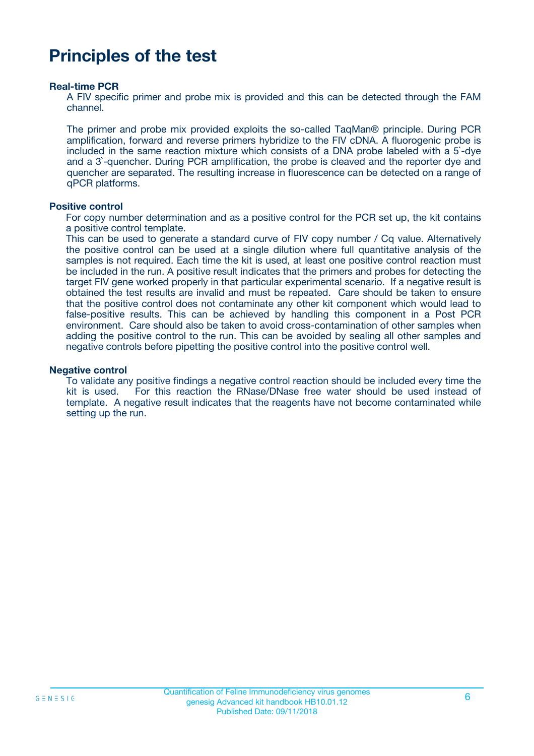### **Principles of the test**

#### **Real-time PCR**

A FIV specific primer and probe mix is provided and this can be detected through the FAM channel.

The primer and probe mix provided exploits the so-called TaqMan® principle. During PCR amplification, forward and reverse primers hybridize to the FIV cDNA. A fluorogenic probe is included in the same reaction mixture which consists of a DNA probe labeled with a 5`-dye and a 3`-quencher. During PCR amplification, the probe is cleaved and the reporter dye and quencher are separated. The resulting increase in fluorescence can be detected on a range of qPCR platforms.

#### **Positive control**

For copy number determination and as a positive control for the PCR set up, the kit contains a positive control template.

This can be used to generate a standard curve of FIV copy number / Cq value. Alternatively the positive control can be used at a single dilution where full quantitative analysis of the samples is not required. Each time the kit is used, at least one positive control reaction must be included in the run. A positive result indicates that the primers and probes for detecting the target FIV gene worked properly in that particular experimental scenario. If a negative result is obtained the test results are invalid and must be repeated. Care should be taken to ensure that the positive control does not contaminate any other kit component which would lead to false-positive results. This can be achieved by handling this component in a Post PCR environment. Care should also be taken to avoid cross-contamination of other samples when adding the positive control to the run. This can be avoided by sealing all other samples and negative controls before pipetting the positive control into the positive control well.

#### **Negative control**

To validate any positive findings a negative control reaction should be included every time the kit is used. For this reaction the RNase/DNase free water should be used instead of template. A negative result indicates that the reagents have not become contaminated while setting up the run.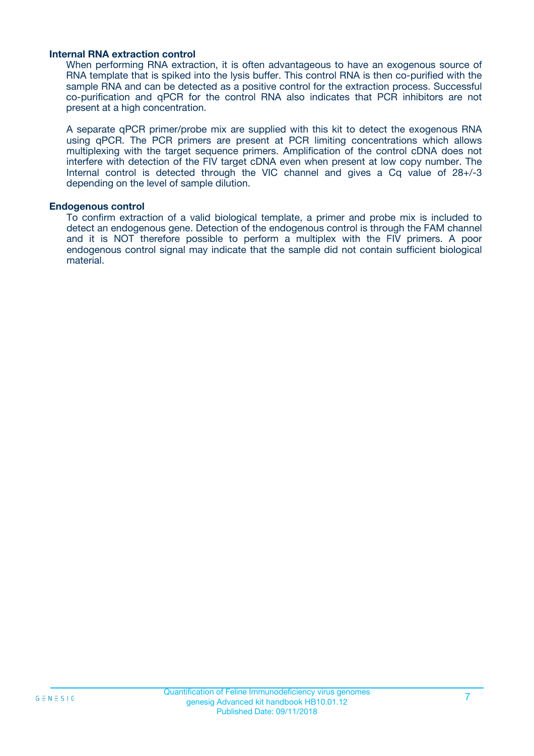#### **Internal RNA extraction control**

When performing RNA extraction, it is often advantageous to have an exogenous source of RNA template that is spiked into the lysis buffer. This control RNA is then co-purified with the sample RNA and can be detected as a positive control for the extraction process. Successful co-purification and qPCR for the control RNA also indicates that PCR inhibitors are not present at a high concentration.

A separate qPCR primer/probe mix are supplied with this kit to detect the exogenous RNA using qPCR. The PCR primers are present at PCR limiting concentrations which allows multiplexing with the target sequence primers. Amplification of the control cDNA does not interfere with detection of the FIV target cDNA even when present at low copy number. The Internal control is detected through the VIC channel and gives a Cq value of 28+/-3 depending on the level of sample dilution.

#### **Endogenous control**

To confirm extraction of a valid biological template, a primer and probe mix is included to detect an endogenous gene. Detection of the endogenous control is through the FAM channel and it is NOT therefore possible to perform a multiplex with the FIV primers. A poor endogenous control signal may indicate that the sample did not contain sufficient biological material.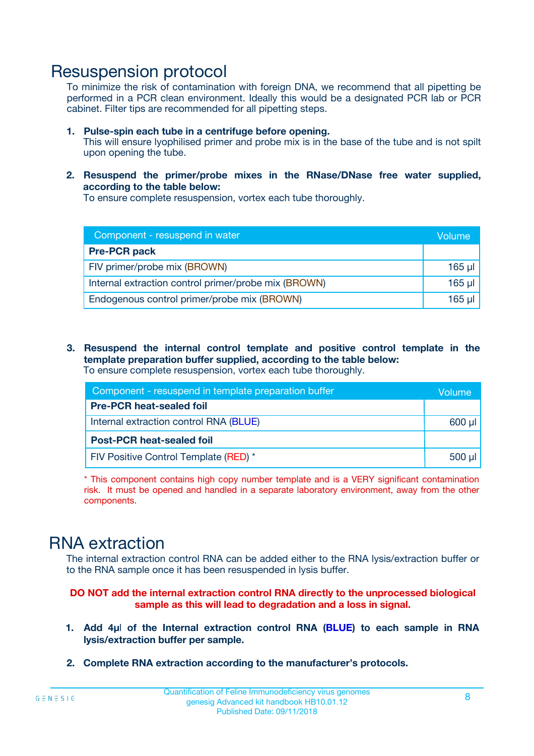### Resuspension protocol

To minimize the risk of contamination with foreign DNA, we recommend that all pipetting be performed in a PCR clean environment. Ideally this would be a designated PCR lab or PCR cabinet. Filter tips are recommended for all pipetting steps.

- **1. Pulse-spin each tube in a centrifuge before opening.** This will ensure lyophilised primer and probe mix is in the base of the tube and is not spilt upon opening the tube.
- **2. Resuspend the primer/probe mixes in the RNase/DNase free water supplied, according to the table below:**

To ensure complete resuspension, vortex each tube thoroughly.

| Component - resuspend in water                       |          |  |
|------------------------------------------------------|----------|--|
| <b>Pre-PCR pack</b>                                  |          |  |
| FIV primer/probe mix (BROWN)                         | $165$ µl |  |
| Internal extraction control primer/probe mix (BROWN) | $165$ µl |  |
| Endogenous control primer/probe mix (BROWN)          | 165 µl   |  |

**3. Resuspend the internal control template and positive control template in the template preparation buffer supplied, according to the table below:** To ensure complete resuspension, vortex each tube thoroughly.

| Component - resuspend in template preparation buffer |          |  |  |
|------------------------------------------------------|----------|--|--|
| <b>Pre-PCR heat-sealed foil</b>                      |          |  |  |
| Internal extraction control RNA (BLUE)               |          |  |  |
| <b>Post-PCR heat-sealed foil</b>                     |          |  |  |
| FIV Positive Control Template (RED) *                | $500$ µl |  |  |

\* This component contains high copy number template and is a VERY significant contamination risk. It must be opened and handled in a separate laboratory environment, away from the other components.

### RNA extraction

The internal extraction control RNA can be added either to the RNA lysis/extraction buffer or to the RNA sample once it has been resuspended in lysis buffer.

#### **DO NOT add the internal extraction control RNA directly to the unprocessed biological sample as this will lead to degradation and a loss in signal.**

- **1. Add 4µ**l **of the Internal extraction control RNA (BLUE) to each sample in RNA lysis/extraction buffer per sample.**
- **2. Complete RNA extraction according to the manufacturer's protocols.**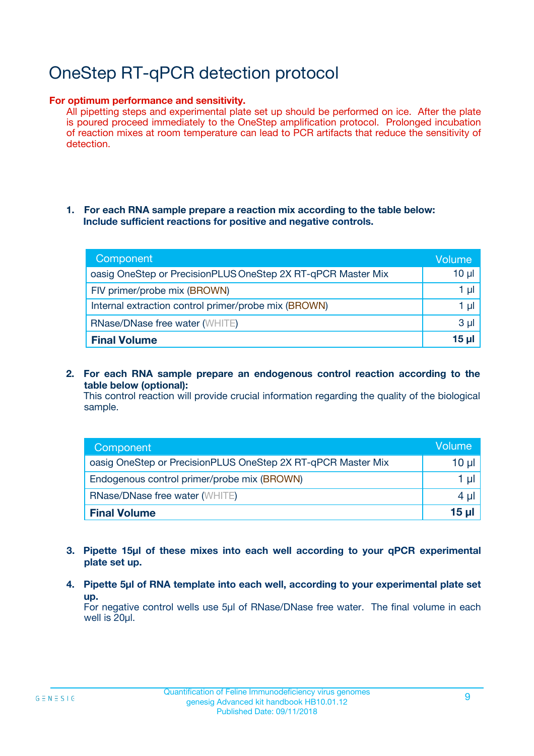# OneStep RT-qPCR detection protocol

#### **For optimum performance and sensitivity.**

All pipetting steps and experimental plate set up should be performed on ice. After the plate is poured proceed immediately to the OneStep amplification protocol. Prolonged incubation of reaction mixes at room temperature can lead to PCR artifacts that reduce the sensitivity of detection.

#### **1. For each RNA sample prepare a reaction mix according to the table below: Include sufficient reactions for positive and negative controls.**

| Component                                                    | <b>Volume</b> |
|--------------------------------------------------------------|---------------|
| oasig OneStep or PrecisionPLUS OneStep 2X RT-qPCR Master Mix | $10 \mu$      |
| FIV primer/probe mix (BROWN)                                 | 1 µI          |
| Internal extraction control primer/probe mix (BROWN)         | 1 µI          |
| RNase/DNase free water (WHITE)                               | $3 \mu$       |
| <b>Final Volume</b>                                          | 15 µl         |

**2. For each RNA sample prepare an endogenous control reaction according to the table below (optional):**

This control reaction will provide crucial information regarding the quality of the biological sample.

| Component                                                    | Volume          |
|--------------------------------------------------------------|-----------------|
| oasig OneStep or PrecisionPLUS OneStep 2X RT-qPCR Master Mix | 10 µl           |
| Endogenous control primer/probe mix (BROWN)                  | 1 µl            |
| <b>RNase/DNase free water (WHITE)</b>                        | $4 \mu$         |
| <b>Final Volume</b>                                          | $15$ µl $\vert$ |

- **3. Pipette 15µl of these mixes into each well according to your qPCR experimental plate set up.**
- **4. Pipette 5µl of RNA template into each well, according to your experimental plate set up.**

For negative control wells use 5µl of RNase/DNase free water. The final volume in each well is 20µl.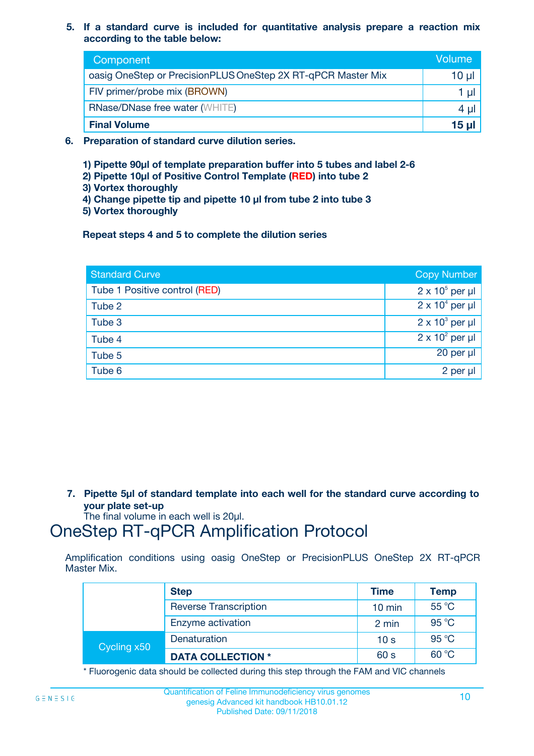**5. If a standard curve is included for quantitative analysis prepare a reaction mix according to the table below:**

| Component                                                    | Volume       |
|--------------------------------------------------------------|--------------|
| oasig OneStep or PrecisionPLUS OneStep 2X RT-qPCR Master Mix | 10 µl        |
| FIV primer/probe mix (BROWN)                                 | 1 µI         |
| <b>RNase/DNase free water (WHITE)</b>                        | 4 µl         |
| <b>Final Volume</b>                                          | <u>15 µl</u> |

- **6. Preparation of standard curve dilution series.**
	- **1) Pipette 90µl of template preparation buffer into 5 tubes and label 2-6**
	- **2) Pipette 10µl of Positive Control Template (RED) into tube 2**
	- **3) Vortex thoroughly**
	- **4) Change pipette tip and pipette 10 µl from tube 2 into tube 3**
	- **5) Vortex thoroughly**

**Repeat steps 4 and 5 to complete the dilution series**

| <b>Standard Curve</b>         | <b>Copy Number</b>     |
|-------------------------------|------------------------|
| Tube 1 Positive control (RED) | $2 \times 10^5$ per µl |
| Tube 2                        | $2 \times 10^4$ per µl |
| Tube 3                        | $2 \times 10^3$ per µl |
| Tube 4                        | $2 \times 10^2$ per µl |
| Tube 5                        | 20 per µl              |
| Tube 6                        | $2$ per $\mu$          |

**7. Pipette 5µl of standard template into each well for the standard curve according to your plate set-up**

The final volume in each well is 20µl.

### OneStep RT-qPCR Amplification Protocol

Amplification conditions using oasig OneStep or PrecisionPLUS OneStep 2X RT-qPCR Master Mix.

|             | <b>Step</b>                  | <b>Time</b>      | <b>Temp</b> |
|-------------|------------------------------|------------------|-------------|
|             | <b>Reverse Transcription</b> | $10 \text{ min}$ | 55 °C       |
|             | Enzyme activation            | 2 min            | 95 °C       |
| Cycling x50 | Denaturation                 | 10 <sub>s</sub>  | 95 °C       |
|             | <b>DATA COLLECTION *</b>     | 60 s             | 60 °C       |

\* Fluorogenic data should be collected during this step through the FAM and VIC channels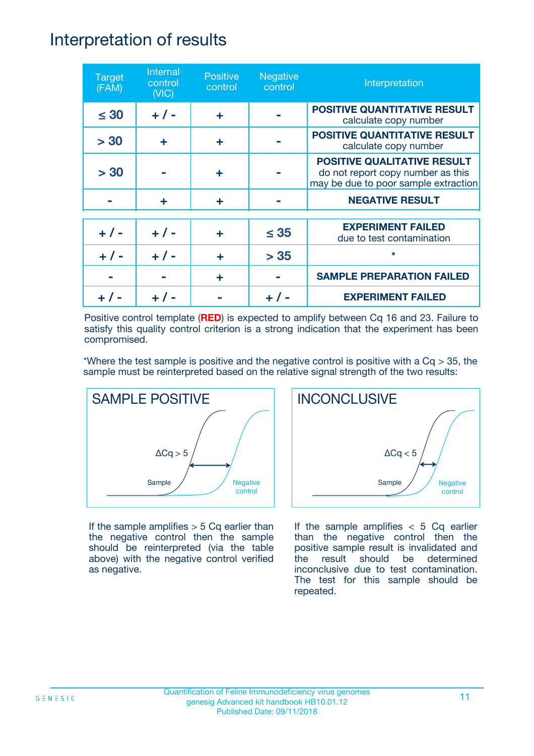### Interpretation of results

| <b>Target</b><br>(FAM) | Internal<br>control<br>(NIC) | <b>Positive</b><br>control | <b>Negative</b><br>control | Interpretation                                                                                                  |
|------------------------|------------------------------|----------------------------|----------------------------|-----------------------------------------------------------------------------------------------------------------|
| $\leq 30$              | $+ 1 -$                      | ÷                          |                            | <b>POSITIVE QUANTITATIVE RESULT</b><br>calculate copy number                                                    |
| > 30                   | ÷                            | ÷                          |                            | <b>POSITIVE QUANTITATIVE RESULT</b><br>calculate copy number                                                    |
| > 30                   |                              | ÷                          |                            | <b>POSITIVE QUALITATIVE RESULT</b><br>do not report copy number as this<br>may be due to poor sample extraction |
|                        | ÷                            | ÷                          |                            | <b>NEGATIVE RESULT</b>                                                                                          |
| $+ 1 -$                | $+ 1 -$                      | ÷                          | $\leq$ 35                  | <b>EXPERIMENT FAILED</b><br>due to test contamination                                                           |
|                        | $+ 1 -$                      |                            | > 35                       | $\star$                                                                                                         |
|                        |                              | ÷                          |                            | <b>SAMPLE PREPARATION FAILED</b>                                                                                |
|                        |                              |                            |                            | <b>EXPERIMENT FAILED</b>                                                                                        |

Positive control template (**RED**) is expected to amplify between Cq 16 and 23. Failure to satisfy this quality control criterion is a strong indication that the experiment has been compromised.

\*Where the test sample is positive and the negative control is positive with a  $Cq > 35$ , the sample must be reinterpreted based on the relative signal strength of the two results:



If the sample amplifies  $> 5$  Cq earlier than the negative control then the sample should be reinterpreted (via the table above) with the negative control verified as negative.



If the sample amplifies  $< 5$  Cq earlier than the negative control then the positive sample result is invalidated and the result should be determined inconclusive due to test contamination. The test for this sample should be repeated.